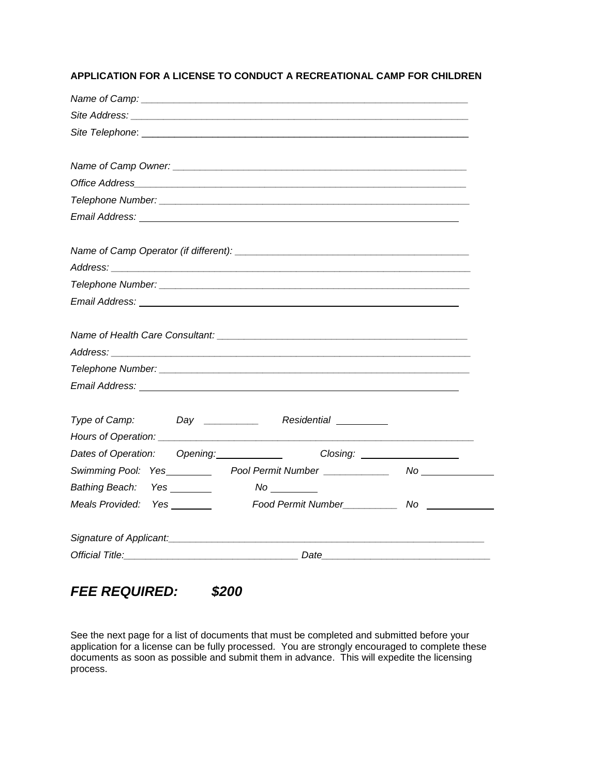## **APPLICATION FOR A LICENSE TO CONDUCT A RECREATIONAL CAMP FOR CHILDREN**

| Type of Camp: Day ____________ Residential ________                                                                     |  |
|-------------------------------------------------------------------------------------------------------------------------|--|
|                                                                                                                         |  |
| Dates of Operation: Opening: Closing: Closing: 2001                                                                     |  |
| Swimming Pool: Yes________                                                                                              |  |
| Bathing Beach: Yes _______<br>$N$ o $\_\_\_\_\_\_\_\_\_\_\_$                                                            |  |
| Meals Provided: Yes _______                                                                                             |  |
|                                                                                                                         |  |
| Signature of Applicant: Signature of Applicant: Signature of Applicant: Signature of Applicant: Signature of Applicant: |  |
|                                                                                                                         |  |

*FEE REQUIRED: \$200*

See the next page for a list of documents that must be completed and submitted before your application for a license can be fully processed. You are strongly encouraged to complete these documents as soon as possible and submit them in advance. This will expedite the licensing process.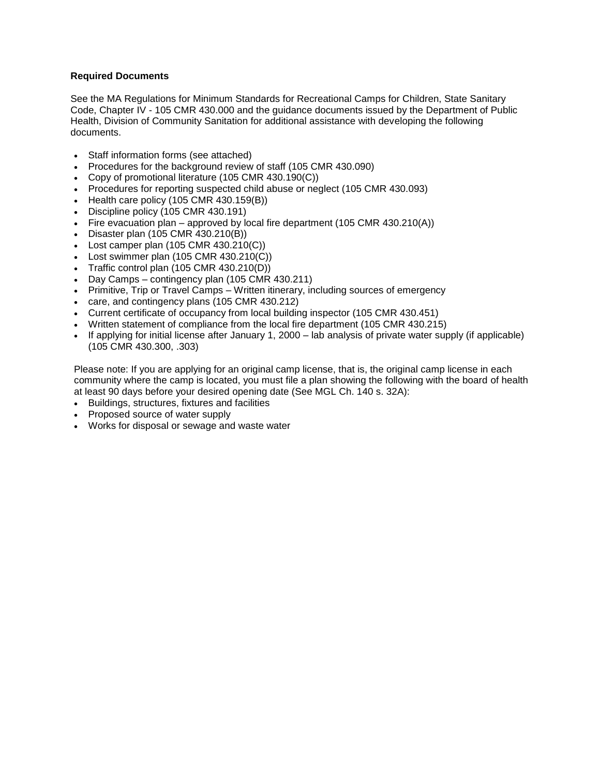## **Required Documents**

See the MA Regulations for Minimum Standards for Recreational Camps for Children, State Sanitary Code, Chapter IV - 105 CMR 430.000 and the guidance documents issued by the Department of Public Health, Division of Community Sanitation for additional assistance with developing the following documents.

- Staff information forms (see attached)
- Procedures for the background review of staff (105 CMR 430.090)
- Copy of promotional literature (105 CMR 430.190(C))
- Procedures for reporting suspected child abuse or neglect (105 CMR 430.093)
- Health care policy  $(105 \text{ CMR } 430.159 \text{ (B)})$
- Discipline policy (105 CMR 430.191)
- Fire evacuation plan approved by local fire department (105 CMR 430.210(A))
- Disaster plan (105 CMR 430.210(B))
- Lost camper plan  $(105 \text{ CMR } 430.210(\text{C}))$
- Lost swimmer plan  $(105 \text{ CMR } 430.210(\text{C}))$
- Traffic control plan  $(105 \text{ CMR } 430.210(\text{D}))$
- Day Camps contingency plan (105 CMR 430.211)
- Primitive, Trip or Travel Camps Written itinerary, including sources of emergency
- care, and contingency plans (105 CMR 430.212)
- Current certificate of occupancy from local building inspector (105 CMR 430.451)
- Written statement of compliance from the local fire department (105 CMR 430.215)
- If applying for initial license after January 1, 2000 lab analysis of private water supply (if applicable) (105 CMR 430.300, .303)

Please note: If you are applying for an original camp license, that is, the original camp license in each community where the camp is located, you must file a plan showing the following with the board of health at least 90 days before your desired opening date (See MGL Ch. 140 s. 32A):

- Buildings, structures, fixtures and facilities
- Proposed source of water supply
- Works for disposal or sewage and waste water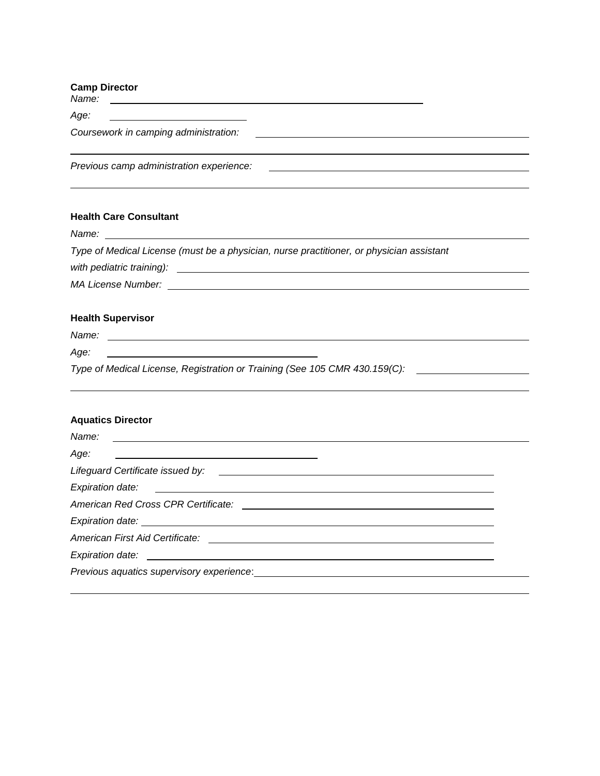| <b>Camp Director</b>                                                                                                                            |  |
|-------------------------------------------------------------------------------------------------------------------------------------------------|--|
| Age:<br><u> Alexandria de la contrada de la contrada de la contrada de la contrada de la contrada de la contrada de la c</u>                    |  |
| Coursework in camping administration:<br><u> 1989 - Andrea Stadt Britain, amerikansk politik (</u>                                              |  |
| Previous camp administration experience:<br>the contract of the contract of the contract of the contract of the contract of the contract of the |  |
| <b>Health Care Consultant</b>                                                                                                                   |  |
|                                                                                                                                                 |  |
| Type of Medical License (must be a physician, nurse practitioner, or physician assistant                                                        |  |
|                                                                                                                                                 |  |
|                                                                                                                                                 |  |
|                                                                                                                                                 |  |

## **Health Supervisor**

*Name:* 

*Age:* 

*Type of Medical License, Registration or Training (See 105 CMR 430.159(C):*

<u> 1980 - Johann Barbara, martxa amerikan personal (</u>

| <b>Aquatics Director</b>                                                                                        |  |
|-----------------------------------------------------------------------------------------------------------------|--|
|                                                                                                                 |  |
|                                                                                                                 |  |
|                                                                                                                 |  |
|                                                                                                                 |  |
|                                                                                                                 |  |
|                                                                                                                 |  |
|                                                                                                                 |  |
|                                                                                                                 |  |
| Previous aquatics supervisory experience: example and all and all and all and all and all and all and all and a |  |
|                                                                                                                 |  |